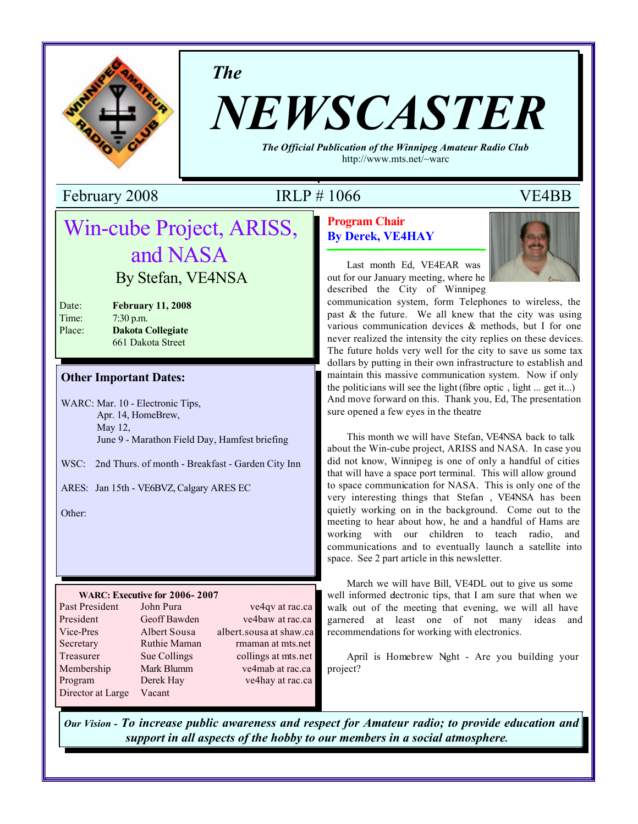

*The*

# *NEWSCASTER*

*The Official Publication of the Winnipeg Amateur Radio Club* http://www.mts.net/~warc

February 2008 IRLP # 1066 VE4BB

## **Program Chair By Derek, VE4HAY**



Last month Ed, VE4EAR was out for our January meeting, where he described the City of Winnipeg

communication system, form Telephones to wireless, the past  $\&$  the future. We all knew that the city was using various communication devices & methods, but I for one never realized the intensity the city replies on these devices. The future holds very well for the city to save us some tax dollars by putting in their own infrastructure to establish and maintain this massive communication system. Now if only the politicians will see the light (fibre optic , light ... get it...) And move forward on this. Thank you, Ed, The presentation sure opened a few eyes in the theatre

This month we will have Stefan, VE4NSA back to talk about the Win-cube project, ARISS and NASA. In case you did not know, Winnipeg is one of only a handful of cities that will have a space port terminal. This will allow ground to space communication for NASA. This is only one of the very interesting things that Stefan , VE4NSA has been quietly working on in the background. Come out to the meeting to hear about how, he and a handful of Hams are working with our children to teach radio, and communications and to eventually launch a satellite into space. See 2 part article in this newsletter.

March we will have Bill, VE4DL out to give us some well informed dectronic tips, that I am sure that when we walk out of the meeting that evening, we will all have garnered at least one of not many ideas and recommendations for working with electronics.

April is Homebrew Nght - Are you building your project?

*Our Vision - To increase public awareness and respect for Amateur radio; to provide education and support in all aspects of the hobby to our members in a social atmosphere.*

## Win-cube Project, ARISS, and NASA By Stefan, VE4NSA

| Date:  | <b>February 11, 2008</b> |
|--------|--------------------------|
| Time:  | $7:30$ p.m.              |
| Place: | <b>Dakota Collegiate</b> |
|        | $661$ Delcate Street     |

# 661 Dakota Street

## **Other Important Dates:**

WARC: Mar. 10 - Electronic Tips, Apr. 14, HomeBrew, May 12, June 9 - Marathon Field Day, Hamfest briefing

WSC: 2nd Thurs. of month - Breakfast - Garden City Inn

ARES: Jan 15th - VE6BVZ, Calgary ARES EC

Other:

## **WARC: Executive for 2006- 2007**

| Past President    | John Pura    | ve4qv at rac.ca         |
|-------------------|--------------|-------------------------|
| President         | Geoff Bawden | ve4baw at rac.ca        |
| Vice-Pres         | Albert Sousa | albert.sousa at shaw.ca |
| Secretary         | Ruthie Maman | rmaman at mts.net       |
| Treasurer         | Sue Collings | collings at mts.net     |
| Membership        | Mark Blumm   | ve4mab at rac.ca        |
| Program           | Derek Hay    | ve4hay at rac.ca        |
| Director at Large | Vacant       |                         |
|                   |              |                         |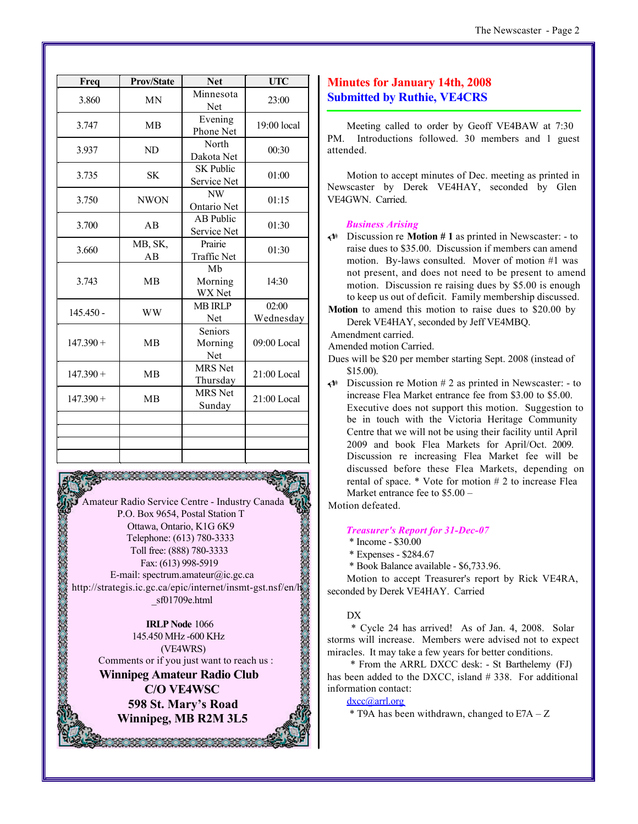| Freq        | <b>Prov/State</b> | <b>Net</b>                      | <b>UTC</b>         |  |
|-------------|-------------------|---------------------------------|--------------------|--|
| 3.860       | <b>MN</b>         | Minnesota<br>Net                | 23:00              |  |
| 3.747       | <b>MB</b>         | Evening<br>Phone Net            | $19:00$ local      |  |
| 3.937       | ND                | North<br>Dakota Net             | 00:30              |  |
| 3.735       | <b>SK</b>         | <b>SK Public</b><br>Service Net | 01:00              |  |
| 3.750       | <b>NWON</b>       | NW<br>Ontario Net               | 01:15              |  |
| 3.700       | AB                | <b>AB</b> Public<br>Service Net | 01:30              |  |
| 3.660       | MB, SK,<br>AB     | Prairie<br><b>Traffic Net</b>   | 01:30              |  |
| 3.743       | <b>MB</b>         | Mb<br>Morning<br>WX Net         | 14:30              |  |
| $145.450 -$ | <b>WW</b>         | <b>MB IRLP</b><br>Net           | 02:00<br>Wednesday |  |
| $147.390 +$ | <b>MB</b>         | Seniors<br>Morning<br>Net       | 09:00 Local        |  |
| $147.390 +$ | <b>MB</b>         | <b>MRS</b> Net<br>Thursday      | 21:00 Local        |  |
| $147.390 +$ | <b>MB</b>         | <b>MRS</b> Net<br>Sunday        | 21:00 Local        |  |
|             |                   |                                 |                    |  |
|             |                   |                                 |                    |  |
|             |                   |                                 |                    |  |

Amateur Radio Service Centre - Industry Canada P.O. Box 9654, Postal Station T Ottawa, Ontario, K1G 6K9 Telephone: (613) 780-3333 Toll free: (888) 780-3333 Fax: (613) 998-5919 E-mail: spectrum.amateur@ic.gc.ca http://strategis.ic.gc.ca/epic/internet/insmt-gst.nsf/en/h \_sf01709e.html

**IRLP Node** 1066 145.450 MHz -600 KHz (VE4WRS) Comments or if you just want to reach us : **Winnipeg Amateur Radio Club C/O VE4WSC 598 St. Mary's Road Winnipeg, MB R2M 3L5**

38.38.38.38.38.38.

## **Minutes for January 14th, 2008 Submitted by Ruthie, VE4CRS**

Meeting called to order by Geoff VE4BAW at 7:30 PM. Introductions followed. 30 members and 1 guest attended.

Motion to accept minutes of Dec. meeting as printed in Newscaster by Derek VE4HAY, seconded by Glen VE4GWN. Carried.

## *Business Arising*

- U Discussion re **Motion # 1** as printed in Newscaster: to raise dues to \$35.00. Discussion if members can amend motion. By-laws consulted. Mover of motion #1 was not present, and does not need to be present to amend motion. Discussion re raising dues by \$5.00 is enough to keep us out of deficit. Family membership discussed.
- **Motion** to amend this motion to raise dues to \$20.00 by Derek VE4HAY, seconded by Jeff VE4MBQ.

Amendment carried.

Amended motion Carried.

- Dues will be \$20 per member starting Sept. 2008 (instead of \$15.00).
- $\triangleleft$  Discussion re Motion # 2 as printed in Newscaster: to increase Flea Market entrance fee from \$3.00 to \$5.00. Executive does not support this motion. Suggestion to be in touch with the Victoria Heritage Community Centre that we will not be using their facility until April 2009 and book Flea Markets for April/Oct. 2009. Discussion re increasing Flea Market fee will be discussed before these Flea Markets, depending on rental of space. \* Vote for motion # 2 to increase Flea Market entrance fee to \$5.00 –

Motion defeated.

#### *Treasurer's Report for 31-Dec-07*

\* Income - \$30.00

\* Expenses - \$284.67

\* Book Balance available - \$6,733.96.

Motion to accept Treasurer's report by Rick VE4RA, seconded by Derek VE4HAY. Carried

#### D<sub>X</sub>

 \* Cycle 24 has arrived! As of Jan. 4, 2008. Solar storms will increase. Members were advised not to expect miracles. It may take a few years for better conditions.

 \* From the ARRL DXCC desk: - St Barthelemy (FJ) has been added to the DXCC, island # 338. For additional information contact:

dxcc@arrl.org

 $*$  T9A has been withdrawn, changed to E7A – Z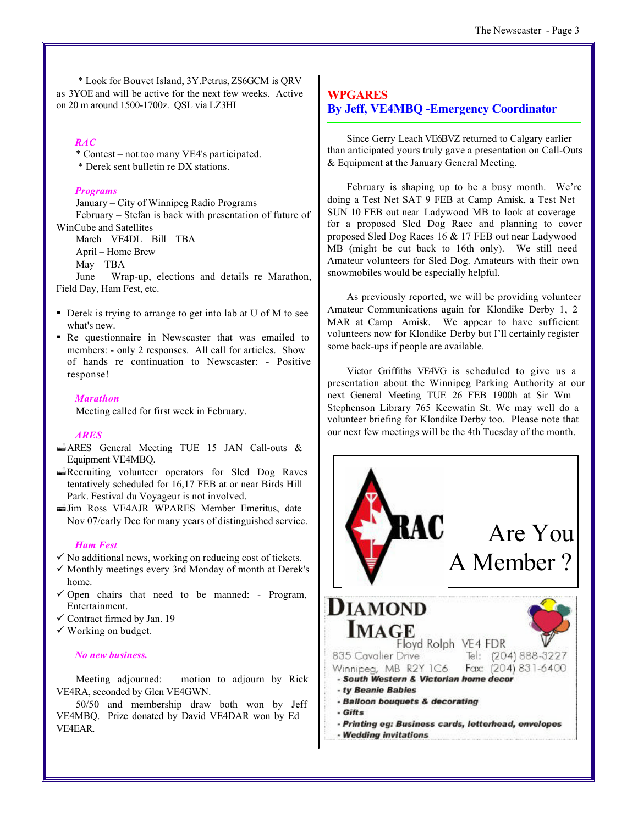\* Look for Bouvet Island, 3Y.Petrus, ZS6GCM is QRV as 3YOE and will be active for the next few weeks. Active on 20 m around 1500-1700z. QSL via LZ3HI

## *RAC*

\* Contest – not too many VE4's participated. \* Derek sent bulletin re DX stations.

#### *Programs*

January – City of Winnipeg Radio Programs February – Stefan is back with presentation of future of WinCube and Satellites

March – VE4DL – Bill – TBA

April – Home Brew

May – TBA

June – Wrap-up, elections and details re Marathon, Field Day, Ham Fest, etc.

- Derek is trying to arrange to get into lab at U of M to see what's new.
- Re questionnaire in Newscaster that was emailed to members: - only 2 responses. All call for articles. Show of hands re continuation to Newscaster: - Positive response!

#### *Marathon*

Meeting called for first week in February.

## *ARES*

- $\triangle$ ARES General Meeting TUE 15 JAN Call-outs & Equipment VE4MBQ.
- $\triangle$ Recruiting volunteer operators for Sled Dog Raves tentatively scheduled for 16,17 FEB at or near Birds Hill Park. Festival du Voyageur is not involved.
- ªJim Ross VE4AJR WPARES Member Emeritus, date Nov 07/early Dec for many years of distinguished service.

#### *Ham Fest*

- $\checkmark$  No additional news, working on reducing cost of tickets.
- ¸ Monthly meetings every 3rd Monday of month at Derek's home.
- $\checkmark$  Open chairs that need to be manned: Program, Entertainment.
- $\checkmark$  Contract firmed by Jan. 19
- $\checkmark$  Working on budget.

## *No new business.*

Meeting adjourned: – motion to adjourn by Rick VE4RA, seconded by Glen VE4GWN.

50/50 and membership draw both won by Jeff VE4MBQ. Prize donated by David VE4DAR won by Ed VE4EAR.

## **WPGARES By Jeff, VE4MBQ -Emergency Coordinator**

Since Gerry Leach VE6BVZ returned to Calgary earlier than anticipated yours truly gave a presentation on Call-Outs & Equipment at the January General Meeting.

February is shaping up to be a busy month. We're doing a Test Net SAT 9 FEB at Camp Amisk, a Test Net SUN 10 FEB out near Ladywood MB to look at coverage for a proposed Sled Dog Race and planning to cover proposed Sled Dog Races 16 & 17 FEB out near Ladywood MB (might be cut back to 16th only). We still need Amateur volunteers for Sled Dog. Amateurs with their own snowmobiles would be especially helpful.

As previously reported, we will be providing volunteer Amateur Communications again for Klondike Derby 1, 2 MAR at Camp Amisk. We appear to have sufficient volunteers now for Klondike Derby but I'll certainly register some back-ups if people are available.

Victor Griffiths VE4VG is scheduled to give us a presentation about the Winnipeg Parking Authority at our next General Meeting TUE 26 FEB 1900h at Sir Wm Stephenson Library 765 Keewatin St. We may well do a volunteer briefing for Klondike Derby too. Please note that our next few meetings will be the 4th Tuesday of the month.

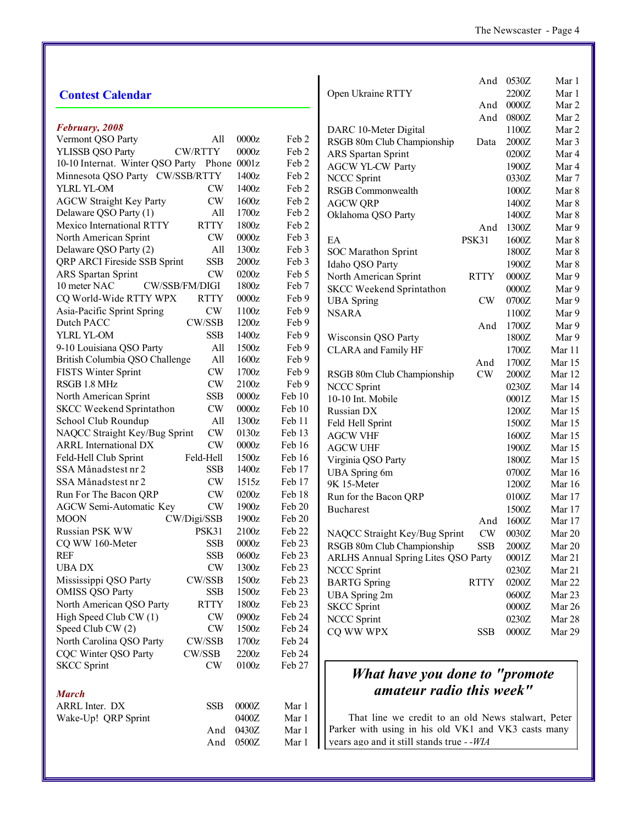|                                              |               |         |        |                                                     |             | And 0530Z      | Mar 1          |
|----------------------------------------------|---------------|---------|--------|-----------------------------------------------------|-------------|----------------|----------------|
| <b>Contest Calendar</b>                      |               |         |        | Open Ukraine RTTY                                   |             | 2200Z          | Mar 1          |
|                                              |               |         |        |                                                     | And         | 0000Z          | Mar 2          |
|                                              |               |         |        |                                                     | And         | 0800Z          | Mar 2          |
| February, 2008                               |               |         |        | DARC 10-Meter Digital                               |             | 1100Z          | Mar 2          |
| Vermont QSO Party                            | All           | 0000z   | Feb 2  | RSGB 80m Club Championship                          | Data        | 2000Z          | Mar 3          |
| <b>YLISSB QSO Party</b><br><b>CW/RTTY</b>    |               | 0000z   | Feb 2  | ARS Spartan Sprint                                  |             | 0200Z          | Mar 4          |
| 10-10 Internat. Winter QSO Party Phone 0001z |               |         | Feb 2  | <b>AGCW YL-CW Party</b>                             |             | 1900Z          | Mar 4          |
| Minnesota QSO Party CW/SSB/RTTY              |               | 1400z   | Feb 2  | <b>NCCC Sprint</b>                                  |             | 0330Z          | Mar 7          |
| YLRL YL-OM                                   | <b>CW</b>     | 1400z   | Feb 2  | RSGB Commonwealth                                   |             | 1000Z          | Mar 8          |
| <b>AGCW Straight Key Party</b>               | <b>CW</b>     | 1600z   | Feb 2  | <b>AGCW QRP</b>                                     |             | 1400Z          | Mar 8          |
| Delaware QSO Party (1)                       | All           | 1700z   | Feb 2  | Oklahoma QSO Party                                  |             | 1400Z          | Mar 8          |
| Mexico International RTTY<br><b>RTTY</b>     |               | 1800z   | Feb 2  |                                                     | And         | 1300Z          | Mar 9          |
| North American Sprint                        | <b>CW</b>     | 0000z   | Feb 3  | EA                                                  | PSK31       | 1600Z          | Mar 8          |
| Delaware QSO Party (2)                       | All           | 1300z   | Feb 3  | SOC Marathon Sprint                                 |             | 1800Z          | Mar 8          |
| QRP ARCI Fireside SSB Sprint                 | <b>SSB</b>    | 2000z   | Feb 3  | Idaho QSO Party                                     |             | 1900Z          | Mar 8          |
| ARS Spartan Sprint                           | <b>CW</b>     | 0200z   | Feb 5  | North American Sprint                               | <b>RTTY</b> | $0000Z$        | Mar 9          |
| CW/SSB/FM/DIGI<br>10 meter NAC               |               | 1800z   | Feb 7  | <b>SKCC Weekend Sprintathon</b>                     |             | $0000Z$        | Mar 9          |
| CQ World-Wide RTTY WPX<br><b>RTTY</b>        |               | 0000z   | Feb 9  | <b>UBA</b> Spring                                   | <b>CW</b>   | 0700Z          | Mar 9          |
| CW<br>Asia-Pacific Sprint Spring             |               | 1100z   | Feb 9  | <b>NSARA</b>                                        |             | 1100Z          | Mar 9          |
| CW/SSB<br>Dutch PACC                         |               | 1200z   | Feb 9  |                                                     |             | 1700Z          |                |
| YLRL YL-OM                                   | <b>SSB</b>    | 1400z   | Feb 9  | Wisconsin QSO Party                                 | And         | 1800Z          | Mar 9<br>Mar 9 |
| 9-10 Louisiana QSO Party                     | All           | 1500z   | Feb 9  | <b>CLARA</b> and Family HF                          |             | 1700Z          |                |
| British Columbia QSO Challenge               | All           | 1600z   | Feb 9  |                                                     |             |                | Mar 11         |
| FISTS Winter Sprint                          | <b>CW</b>     | 1700z   | Feb 9  |                                                     | And<br>CW   | 1700Z<br>2000Z | Mar 15         |
| RSGB 1.8 MHz                                 | <b>CW</b>     | 2100z   | Feb 9  | RSGB 80m Club Championship                          |             |                | Mar 12         |
| North American Sprint                        | <b>SSB</b>    | 0000z   | Feb 10 | <b>NCCC Sprint</b>                                  |             | 0230Z          | Mar 14         |
| SKCC Weekend Sprintathon                     | <b>CW</b>     | 0000z   | Feb 10 | 10-10 Int. Mobile                                   |             | 0001Z          | Mar 15         |
| School Club Roundup                          | All           | 1300z   | Feb 11 | Russian DX                                          |             | 1200Z          | Mar 15         |
| NAQCC Straight Key/Bug Sprint                | <b>CW</b>     | 0130z   | Feb 13 | Feld Hell Sprint                                    |             | 1500Z          | Mar 15         |
| <b>ARRL</b> International DX                 | <b>CW</b>     | 0000z   | Feb 16 | <b>AGCW VHF</b>                                     |             | 1600Z          | Mar 15         |
| Feld-Hell                                    |               | 1500z   | Feb 16 | <b>AGCW UHF</b>                                     |             | 1900Z          | Mar 15         |
| Feld-Hell Club Sprint<br>SSA Månadstest nr 2 | <b>SSB</b>    | 1400z   | Feb 17 | Virginia QSO Party                                  |             | 1800Z          | Mar 15         |
| SSA Månadstest nr 2                          |               | 1515z   | Feb 17 | <b>UBA</b> Spring 6m                                |             | 0700Z          | Mar $16$       |
|                                              | <b>CW</b>     |         |        | 9K 15-Meter                                         |             | 1200Z          | Mar 16         |
| Run For The Bacon QRP                        | <b>CW</b>     | 0200z   | Feb 18 | Run for the Bacon QRP                               |             | 0100Z          | Mar 17         |
| AGCW Semi-Automatic Key                      | <b>CW</b>     | 1900z   | Feb 20 | <b>Bucharest</b>                                    |             | 1500Z          | Mar 17         |
| <b>MOON</b><br>CW/Digi/SSB                   |               | 1900z   | Feb 20 |                                                     | And         | 1600Z          | Mar 17         |
| Russian PSK WW<br>PSK31                      |               | 2100z   | Feb 22 | NAQCC Straight Key/Bug Sprint                       | CW          | 0030Z          | Mar 20         |
| CQ WW 160-Meter                              | <b>SSB</b>    | $0000z$ | Feb 23 | RSGB 80m Club Championship                          | <b>SSB</b>  | $2000Z$        | Mar 20         |
| <b>REF</b>                                   | <b>SSB</b>    | 0600z   | Feb 23 | <b>ARLHS Annual Spring Lites QSO Party</b>          |             | 0001Z          | Mar 21         |
| <b>UBADX</b>                                 | $\mathrm{CW}$ | 1300z   | Feb 23 | <b>NCCC Sprint</b>                                  |             | 0230Z          | Mar 21         |
| CW/SSB<br>Mississippi QSO Party              |               | 1500z   | Feb 23 | <b>BARTG</b> Spring                                 | <b>RTTY</b> | 0200Z          | Mar 22         |
| <b>OMISS QSO Party</b>                       | <b>SSB</b>    | 1500z   | Feb 23 | <b>UBA</b> Spring 2m                                |             | 0600Z          | Mar 23         |
| North American QSO Party<br><b>RTTY</b>      |               | 1800z   | Feb 23 | <b>SKCC Sprint</b>                                  |             | 0000Z          | Mar 26         |
| High Speed Club CW (1)                       | <b>CW</b>     | 0900z   | Feb 24 | NCCC Sprint                                         |             | 0230Z          | Mar 28         |
| Speed Club CW (2)                            | CW            | 1500z   | Feb 24 | CQ WW WPX                                           | <b>SSB</b>  | 0000Z          | Mar 29         |
| North Carolina QSO Party<br>CW/SSB           |               | 1700z   | Feb 24 |                                                     |             |                |                |
| CQC Winter QSO Party<br>CW/SSB               |               | 2200z   | Feb 24 |                                                     |             |                |                |
| <b>SKCC</b> Sprint<br>CW                     |               | 0100z   | Feb 27 |                                                     |             |                |                |
|                                              |               |         |        | What have you done to "promote"                     |             |                |                |
| <b>March</b>                                 |               |         |        | amateur radio this week"                            |             |                |                |
| ARRL Inter. DX                               | <b>SSB</b>    | 0000Z   | Mar 1  |                                                     |             |                |                |
| Wake-Up! QRP Sprint                          |               | 0400Z   | Mar 1  | That line we credit to an old News stalwart, Peter  |             |                |                |
|                                              | And           | 0430Z   | Mar 1  | Parker with using in his old VK1 and VK3 casts many |             |                |                |
|                                              | And           | 0500Z   | Mar 1  | years ago and it still stands true --WIA            |             |                |                |
|                                              |               |         |        |                                                     |             |                |                |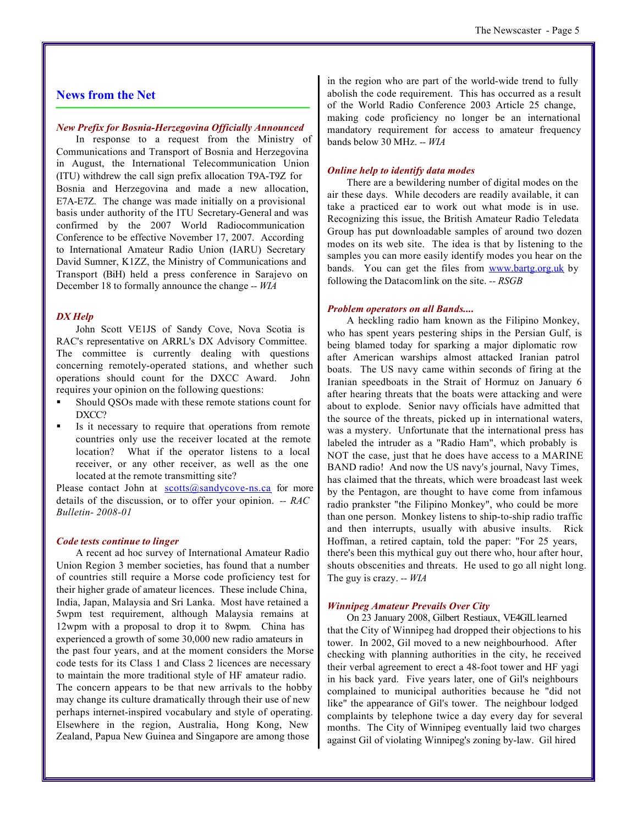## **News from the Net**

## *New Prefix for Bosnia-Herzegovina Officially Announced*

In response to a request from the Ministry of Communications and Transport of Bosnia and Herzegovina in August, the International Telecommunication Union (ITU) withdrew the call sign prefix allocation T9A-T9Z for Bosnia and Herzegovina and made a new allocation, E7A-E7Z. The change was made initially on a provisional basis under authority of the ITU Secretary-General and was confirmed by the 2007 World Radiocommunication Conference to be effective November 17, 2007. According to International Amateur Radio Union (IARU) Secretary David Sumner, K1ZZ, the Ministry of Communications and Transport (BiH) held a press conference in Sarajevo on December 18 to formally announce the change *-- WIA*

#### *DX Help*

John Scott VE1JS of Sandy Cove, Nova Scotia is RAC's representative on ARRL's DX Advisory Committee. The committee is currently dealing with questions concerning remotely-operated stations, and whether such operations should count for the DXCC Award. John requires your opinion on the following questions:

- ß Should QSOs made with these remote stations count for DXCC?
- ß Is it necessary to require that operations from remote countries only use the receiver located at the remote location? What if the operator listens to a local receiver, or any other receiver, as well as the one located at the remote transmitting site?

Please contact John at  $\frac{\text{scotts}(\partial \text{sandycover} - \text{ns.ca}}{\text{for more}})$ details of the discussion, or to offer your opinion. *-- RAC Bulletin- 2008-01*

## *Code tests continue to linger*

A recent ad hoc survey of International Amateur Radio Union Region 3 member societies, has found that a number of countries still require a Morse code proficiency test for their higher grade of amateur licences. These include China, India, Japan, Malaysia and Sri Lanka. Most have retained a 5wpm test requirement, although Malaysia remains at 12wpm with a proposal to drop it to 8wpm. China has experienced a growth of some 30,000 new radio amateurs in the past four years, and at the moment considers the Morse code tests for its Class 1 and Class 2 licences are necessary to maintain the more traditional style of HF amateur radio. The concern appears to be that new arrivals to the hobby may change its culture dramatically through their use of new perhaps internet-inspired vocabulary and style of operating. Elsewhere in the region, Australia, Hong Kong, New Zealand, Papua New Guinea and Singapore are among those

in the region who are part of the world-wide trend to fully abolish the code requirement. This has occurred as a result of the World Radio Conference 2003 Article 25 change, making code proficiency no longer be an international mandatory requirement for access to amateur frequency bands below 30 MHz. *-- WIA*

## *Online help to identify data modes*

There are a bewildering number of digital modes on the air these days. While decoders are readily available, it can take a practiced ear to work out what mode is in use. Recognizing this issue, the British Amateur Radio Teledata Group has put downloadable samples of around two dozen modes on its web site. The idea is that by listening to the samples you can more easily identify modes you hear on the bands. You can get the files from www.bartg.org.uk by following the Datacom link on the site. *-- RSGB*

### *Problem operators on all Bands....*

A heckling radio ham known as the Filipino Monkey, who has spent years pestering ships in the Persian Gulf, is being blamed today for sparking a major diplomatic row after American warships almost attacked Iranian patrol boats. The US navy came within seconds of firing at the Iranian speedboats in the Strait of Hormuz on January 6 after hearing threats that the boats were attacking and were about to explode. Senior navy officials have admitted that the source of the threats, picked up in international waters, was a mystery. Unfortunate that the international press has labeled the intruder as a "Radio Ham", which probably is NOT the case, just that he does have access to a MARINE BAND radio! And now the US navy's journal, Navy Times, has claimed that the threats, which were broadcast last week by the Pentagon, are thought to have come from infamous radio prankster "the Filipino Monkey", who could be more than one person. Monkey listens to ship-to-ship radio traffic and then interrupts, usually with abusive insults. Rick Hoffman, a retired captain, told the paper: "For 25 years, there's been this mythical guy out there who, hour after hour, shouts obscenities and threats. He used to go all night long. The guy is crazy. *-- WIA*

#### *Winnipeg Amateur Prevails Over City*

On 23 January 2008, Gilbert Restiaux, VE4GIL learned that the City of Winnipeg had dropped their objections to his tower. In 2002, Gil moved to a new neighbourhood. After checking with planning authorities in the city, he received their verbal agreement to erect a 48-foot tower and HF yagi in his back yard. Five years later, one of Gil's neighbours complained to municipal authorities because he "did not like" the appearance of Gil's tower. The neighbour lodged complaints by telephone twice a day every day for several months. The City of Winnipeg eventually laid two charges against Gil of violating Winnipeg's zoning by-law. Gil hired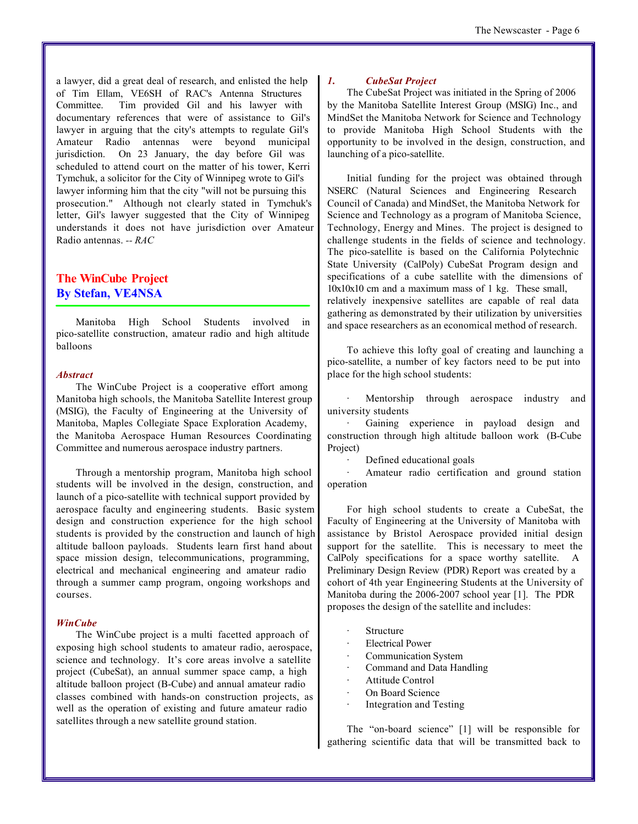a lawyer, did a great deal of research, and enlisted the help of Tim Ellam, VE6SH of RAC's Antenna Structures Committee. Tim provided Gil and his lawyer with documentary references that were of assistance to Gil's lawyer in arguing that the city's attempts to regulate Gil's Amateur Radio antennas were beyond municipal jurisdiction. On 23 January, the day before Gil was scheduled to attend court on the matter of his tower, Kerri Tymchuk, a solicitor for the City of Winnipeg wrote to Gil's lawyer informing him that the city "will not be pursuing this prosecution." Although not clearly stated in Tymchuk's letter, Gil's lawyer suggested that the City of Winnipeg understands it does not have jurisdiction over Amateur Radio antennas. *-- RAC*

## **The WinCube Project By Stefan, VE4NSA**

Manitoba High School Students involved in pico-satellite construction, amateur radio and high altitude balloons

#### *Abstract*

The WinCube Project is a cooperative effort among Manitoba high schools, the Manitoba Satellite Interest group (MSIG), the Faculty of Engineering at the University of Manitoba, Maples Collegiate Space Exploration Academy, the Manitoba Aerospace Human Resources Coordinating Committee and numerous aerospace industry partners.

Through a mentorship program, Manitoba high school students will be involved in the design, construction, and launch of a pico-satellite with technical support provided by aerospace faculty and engineering students. Basic system design and construction experience for the high school students is provided by the construction and launch of high altitude balloon payloads. Students learn first hand about space mission design, telecommunications, programming, electrical and mechanical engineering and amateur radio through a summer camp program, ongoing workshops and courses.

#### *WinCube*

The WinCube project is a multi facetted approach of exposing high school students to amateur radio, aerospace, science and technology. It's core areas involve a satellite project (CubeSat), an annual summer space camp, a high altitude balloon project (B-Cube) and annual amateur radio classes combined with hands-on construction projects, as well as the operation of existing and future amateur radio satellites through a new satellite ground station.

#### *1. CubeSat Project*

The CubeSat Project was initiated in the Spring of 2006 by the Manitoba Satellite Interest Group (MSIG) Inc., and MindSet the Manitoba Network for Science and Technology to provide Manitoba High School Students with the opportunity to be involved in the design, construction, and launching of a pico-satellite.

Initial funding for the project was obtained through NSERC (Natural Sciences and Engineering Research Council of Canada) and MindSet, the Manitoba Network for Science and Technology as a program of Manitoba Science, Technology, Energy and Mines. The project is designed to challenge students in the fields of science and technology. The pico-satellite is based on the California Polytechnic State University (CalPoly) CubeSat Program design and specifications of a cube satellite with the dimensions of 10x10x10 cm and a maximum mass of 1 kg. These small, relatively inexpensive satellites are capable of real data gathering as demonstrated by their utilization by universities and space researchers as an economical method of research.

To achieve this lofty goal of creating and launching a pico-satellite, a number of key factors need to be put into place for the high school students:

Mentorship through aerospace industry and university students

Gaining experience in payload design and construction through high altitude balloon work (B-Cube Project)

Defined educational goals

Amateur radio certification and ground station operation

For high school students to create a CubeSat, the Faculty of Engineering at the University of Manitoba with assistance by Bristol Aerospace provided initial design support for the satellite. This is necessary to meet the CalPoly specifications for a space worthy satellite. A Preliminary Design Review (PDR) Report was created by a cohort of 4th year Engineering Students at the University of Manitoba during the 2006-2007 school year [1]. The PDR proposes the design of the satellite and includes:

- **Structure**
- **Electrical Power**
- Communication System
- Command and Data Handling
- Attitude Control
- On Board Science
- Integration and Testing

The "on-board science" [1] will be responsible for gathering scientific data that will be transmitted back to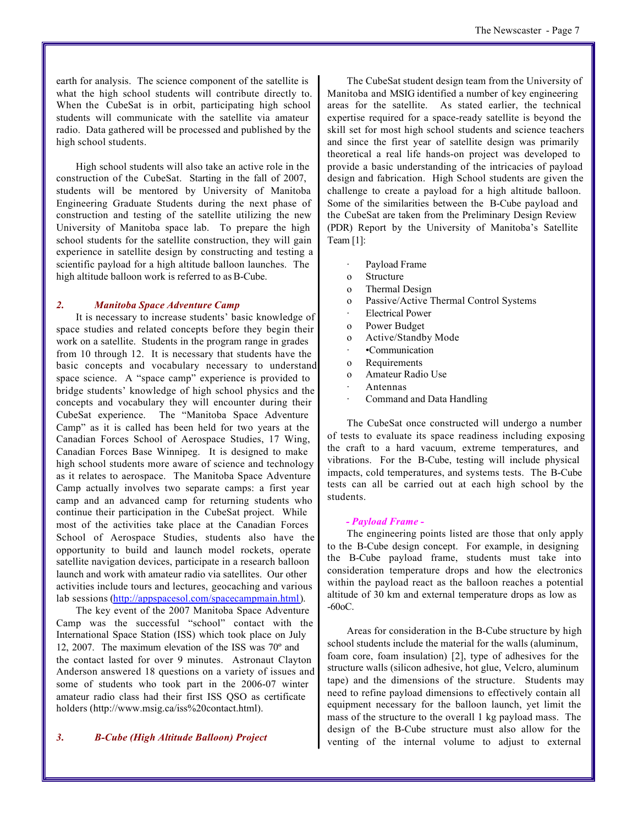earth for analysis. The science component of the satellite is what the high school students will contribute directly to. When the CubeSat is in orbit, participating high school students will communicate with the satellite via amateur radio. Data gathered will be processed and published by the high school students.

High school students will also take an active role in the construction of the CubeSat. Starting in the fall of 2007, students will be mentored by University of Manitoba Engineering Graduate Students during the next phase of construction and testing of the satellite utilizing the new University of Manitoba space lab. To prepare the high school students for the satellite construction, they will gain experience in satellite design by constructing and testing a scientific payload for a high altitude balloon launches. The high altitude balloon work is referred to as B-Cube.

## *2. Manitoba Space Adventure Camp*

It is necessary to increase students' basic knowledge of space studies and related concepts before they begin their work on a satellite. Students in the program range in grades from 10 through 12. It is necessary that students have the basic concepts and vocabulary necessary to understand space science. A "space camp" experience is provided to bridge students' knowledge of high school physics and the concepts and vocabulary they will encounter during their CubeSat experience. The "Manitoba Space Adventure Camp" as it is called has been held for two years at the Canadian Forces School of Aerospace Studies, 17 Wing, Canadian Forces Base Winnipeg. It is designed to make high school students more aware of science and technology as it relates to aerospace. The Manitoba Space Adventure Camp actually involves two separate camps: a first year camp and an advanced camp for returning students who continue their participation in the CubeSat project. While most of the activities take place at the Canadian Forces School of Aerospace Studies, students also have the opportunity to build and launch model rockets, operate satellite navigation devices, participate in a research balloon launch and work with amateur radio via satellites. Our other activities include tours and lectures, geocaching and various lab sessions (http://appspacesol.com/spacecampmain.html).

The key event of the 2007 Manitoba Space Adventure Camp was the successful "school" contact with the International Space Station (ISS) which took place on July 12, 2007. The maximum elevation of the ISS was 70º and the contact lasted for over 9 minutes. Astronaut Clayton Anderson answered 18 questions on a variety of issues and some of students who took part in the 2006-07 winter amateur radio class had their first ISS QSO as certificate holders (http://www.msig.ca/iss%20contact.html).

## *3. B-Cube (High Altitude Balloon) Project*

The CubeSat student design team from the University of Manitoba and MSIG identified a number of key engineering areas for the satellite. As stated earlier, the technical expertise required for a space-ready satellite is beyond the skill set for most high school students and science teachers and since the first year of satellite design was primarily theoretical a real life hands-on project was developed to provide a basic understanding of the intricacies of payload design and fabrication. High School students are given the challenge to create a payload for a high altitude balloon. Some of the similarities between the B-Cube payload and the CubeSat are taken from the Preliminary Design Review (PDR) Report by the University of Manitoba's Satellite Team [1]:

- Payload Frame
- o Structure
- o Thermal Design
- o Passive/Active Thermal Control Systems
- **Electrical Power**
- o Power Budget
- o Active/Standby Mode
- · •Communication
- o Requirements
- o Amateur Radio Use
- · Antennas
- Command and Data Handling

The CubeSat once constructed will undergo a number of tests to evaluate its space readiness including exposing the craft to a hard vacuum, extreme temperatures, and vibrations. For the B-Cube, testing will include physical impacts, cold temperatures, and systems tests. The B-Cube tests can all be carried out at each high school by the students.

## *- Payload Frame -*

The engineering points listed are those that only apply to the B-Cube design concept. For example, in designing the B-Cube payload frame, students must take into consideration temperature drops and how the electronics within the payload react as the balloon reaches a potential altitude of 30 km and external temperature drops as low as -60oC.

Areas for consideration in the B-Cube structure by high school students include the material for the walls (aluminum, foam core, foam insulation) [2], type of adhesives for the structure walls (silicon adhesive, hot glue, Velcro, aluminum tape) and the dimensions of the structure. Students may need to refine payload dimensions to effectively contain all equipment necessary for the balloon launch, yet limit the mass of the structure to the overall 1 kg payload mass. The design of the B-Cube structure must also allow for the venting of the internal volume to adjust to external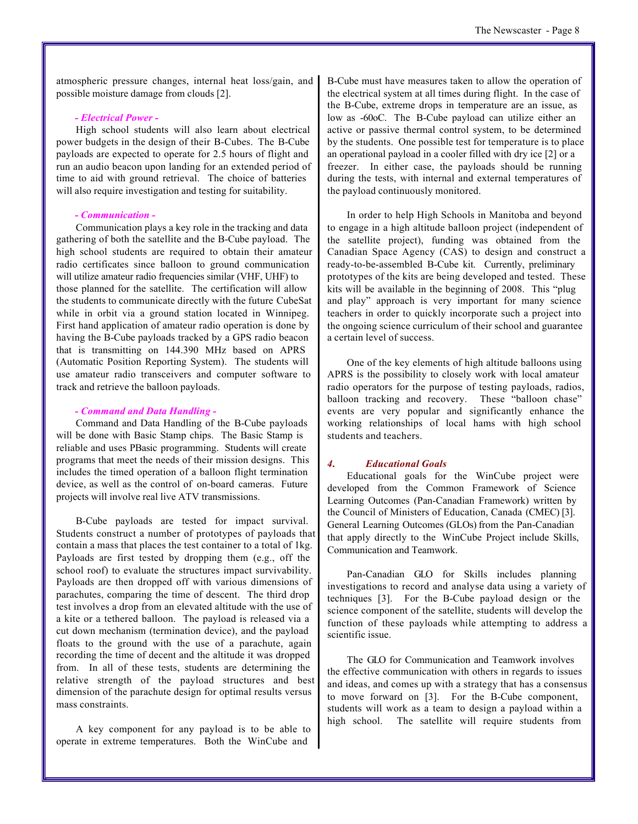atmospheric pressure changes, internal heat loss/gain, and possible moisture damage from clouds [2].

## *- Electrical Power -*

High school students will also learn about electrical power budgets in the design of their B-Cubes. The B-Cube payloads are expected to operate for 2.5 hours of flight and run an audio beacon upon landing for an extended period of time to aid with ground retrieval. The choice of batteries will also require investigation and testing for suitability.

## *- Communication -*

Communication plays a key role in the tracking and data gathering of both the satellite and the B-Cube payload. The high school students are required to obtain their amateur radio certificates since balloon to ground communication will utilize amateur radio frequencies similar (VHF, UHF) to those planned for the satellite. The certification will allow the students to communicate directly with the future CubeSat while in orbit via a ground station located in Winnipeg. First hand application of amateur radio operation is done by having the B-Cube payloads tracked by a GPS radio beacon that is transmitting on 144.390 MHz based on APRS (Automatic Position Reporting System). The students will use amateur radio transceivers and computer software to track and retrieve the balloon payloads.

## *- Command and Data Handling -*

Command and Data Handling of the B-Cube payloads will be done with Basic Stamp chips. The Basic Stamp is reliable and uses PBasic programming. Students will create programs that meet the needs of their mission designs. This includes the timed operation of a balloon flight termination device, as well as the control of on-board cameras. Future projects will involve real live ATV transmissions.

B-Cube payloads are tested for impact survival. Students construct a number of prototypes of payloads that contain a mass that places the test container to a total of 1kg. Payloads are first tested by dropping them (e.g., off the school roof) to evaluate the structures impact survivability. Payloads are then dropped off with various dimensions of parachutes, comparing the time of descent. The third drop test involves a drop from an elevated altitude with the use of a kite or a tethered balloon. The payload is released via a cut down mechanism (termination device), and the payload floats to the ground with the use of a parachute, again recording the time of decent and the altitude it was dropped from. In all of these tests, students are determining the relative strength of the payload structures and best dimension of the parachute design for optimal results versus mass constraints.

A key component for any payload is to be able to operate in extreme temperatures. Both the WinCube and

B-Cube must have measures taken to allow the operation of the electrical system at all times during flight. In the case of the B-Cube, extreme drops in temperature are an issue, as low as -60oC. The B-Cube payload can utilize either an active or passive thermal control system, to be determined by the students. One possible test for temperature is to place an operational payload in a cooler filled with dry ice [2] or a freezer. In either case, the payloads should be running during the tests, with internal and external temperatures of the payload continuously monitored.

In order to help High Schools in Manitoba and beyond to engage in a high altitude balloon project (independent of the satellite project), funding was obtained from the Canadian Space Agency (CAS) to design and construct a ready-to-be-assembled B-Cube kit. Currently, preliminary prototypes of the kits are being developed and tested. These kits will be available in the beginning of 2008. This "plug and play" approach is very important for many science teachers in order to quickly incorporate such a project into the ongoing science curriculum of their school and guarantee a certain level of success.

One of the key elements of high altitude balloons using APRS is the possibility to closely work with local amateur radio operators for the purpose of testing payloads, radios, balloon tracking and recovery. These "balloon chase" events are very popular and significantly enhance the working relationships of local hams with high school students and teachers.

## *4. Educational Goals*

Educational goals for the WinCube project were developed from the Common Framework of Science Learning Outcomes (Pan-Canadian Framework) written by the Council of Ministers of Education, Canada (CMEC) [3]. General Learning Outcomes (GLOs) from the Pan-Canadian that apply directly to the WinCube Project include Skills, Communication and Teamwork.

Pan-Canadian GLO for Skills includes planning investigations to record and analyse data using a variety of techniques [3]. For the B-Cube payload design or the science component of the satellite, students will develop the function of these payloads while attempting to address a scientific issue.

The GLO for Communication and Teamwork involves the effective communication with others in regards to issues and ideas, and comes up with a strategy that has a consensus to move forward on [3]. For the B-Cube component, students will work as a team to design a payload within a high school. The satellite will require students from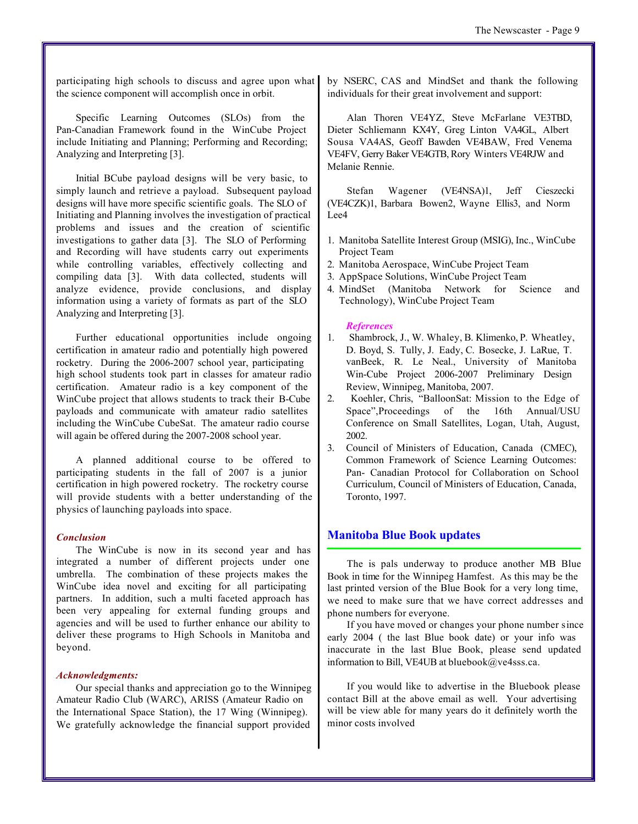participating high schools to discuss and agree upon what the science component will accomplish once in orbit.

Specific Learning Outcomes (SLOs) from the Pan-Canadian Framework found in the WinCube Project include Initiating and Planning; Performing and Recording; Analyzing and Interpreting [3].

Initial BCube payload designs will be very basic, to simply launch and retrieve a payload. Subsequent payload designs will have more specific scientific goals. The SLO of Initiating and Planning involves the investigation of practical problems and issues and the creation of scientific investigations to gather data [3]. The SLO of Performing and Recording will have students carry out experiments while controlling variables, effectively collecting and compiling data [3]. With data collected, students will analyze evidence, provide conclusions, and display information using a variety of formats as part of the SLO Analyzing and Interpreting [3].

Further educational opportunities include ongoing certification in amateur radio and potentially high powered rocketry. During the 2006-2007 school year, participating high school students took part in classes for amateur radio certification. Amateur radio is a key component of the WinCube project that allows students to track their B-Cube payloads and communicate with amateur radio satellites including the WinCube CubeSat. The amateur radio course will again be offered during the 2007-2008 school year.

A planned additional course to be offered to participating students in the fall of 2007 is a junior certification in high powered rocketry. The rocketry course will provide students with a better understanding of the physics of launching payloads into space.

## *Conclusion*

The WinCube is now in its second year and has integrated a number of different projects under one umbrella. The combination of these projects makes the WinCube idea novel and exciting for all participating partners. In addition, such a multi faceted approach has been very appealing for external funding groups and agencies and will be used to further enhance our ability to deliver these programs to High Schools in Manitoba and beyond.

## *Acknowledgments:*

Our special thanks and appreciation go to the Winnipeg Amateur Radio Club (WARC), ARISS (Amateur Radio on the International Space Station), the 17 Wing (Winnipeg). We gratefully acknowledge the financial support provided

by NSERC, CAS and MindSet and thank the following individuals for their great involvement and support:

Alan Thoren VE4YZ, Steve McFarlane VE3TBD, Dieter Schliemann KX4Y, Greg Linton VA4GL, Albert Sousa VA4AS, Geoff Bawden VE4BAW, Fred Venema VE4FV, Gerry Baker VE4GTB, Rory Winters VE4RJW and Melanie Rennie.

Stefan Wagener (VE4NSA)1, Jeff Cieszecki (VE4CZK)1, Barbara Bowen2, Wayne Ellis3, and Norm Lee4

- 1. Manitoba Satellite Interest Group (MSIG), Inc., WinCube Project Team
- 2. Manitoba Aerospace, WinCube Project Team
- 3. AppSpace Solutions, WinCube Project Team
- 4. MindSet (Manitoba Network for Science and Technology), WinCube Project Team

## *References*

- 1. Shambrock, J., W. Whaley, B. Klimenko, P. Wheatley, D. Boyd, S. Tully, J. Eady, C. Bosecke, J. LaRue, T. vanBeek, R. Le Neal., University of Manitoba Win-Cube Project 2006-2007 Preliminary Design Review, Winnipeg, Manitoba, 2007.
- 2. Koehler, Chris, "BalloonSat: Mission to the Edge of Space",Proceedings of the 16th Annual/USU Conference on Small Satellites, Logan, Utah, August, 2002.
- 3. Council of Ministers of Education, Canada (CMEC), Common Framework of Science Learning Outcomes: Pan- Canadian Protocol for Collaboration on School Curriculum, Council of Ministers of Education, Canada, Toronto, 1997.

## **Manitoba Blue Book updates**

The is pals underway to produce another MB Blue Book in time for the Winnipeg Hamfest. As this may be the last printed version of the Blue Book for a very long time, we need to make sure that we have correct addresses and phone numbers for everyone.

If you have moved or changes your phone number since early 2004 ( the last Blue book date) or your info was inaccurate in the last Blue Book, please send updated information to Bill, VE4UB at bluebook@ve4sss.ca.

If you would like to advertise in the Bluebook please contact Bill at the above email as well. Your advertising will be view able for many years do it definitely worth the minor costs involved